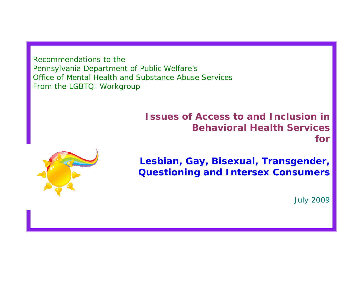Recommendations to the Pennsylvania Department of Public Welfare's Office of Mental Health and Substance Abuse Services From the LGBTQI Workgroup

# **Issues of Access to and Inclusion in Behavioral Health Services for**



**Lesbian, Gay, Bisexual, Transgender, Questioning and Intersex Consumers** 

July 2009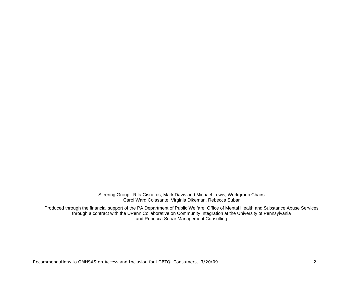Steering Group: Rita Cisneros, Mark Davis and Michael Lewis, Workgroup Chairs Carol Ward Colasante, Virginia Dikeman, Rebecca Subar

Produced through the financial support of the PA Department of Public Welfare, Office of Mental Health and Substance Abuse Services through a contract with the UPenn Collaborative on Community Integration at the University of Pennsylvania and Rebecca Subar Management Consulting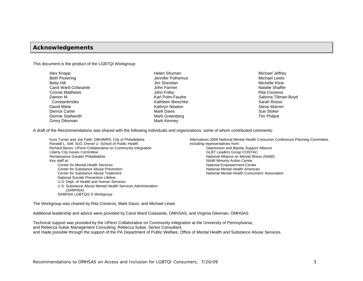### **Acknowledgements**

This document is the product of the LGBTQI Workgroup:

| Alex Knapp             |
|------------------------|
| <b>Beth Pickering</b>  |
| <b>Betty Hill</b>      |
| Carol Ward Colasante   |
| <b>Connie Matthews</b> |
| Damon M.               |
| Constantinides         |
| David Miele            |
| Derrick Carter         |
| Dionne Stallworth      |
| Ginny Dikeman          |

Helen Shuman Jennifer Polhemus Jim Sheridan John Farmer John Folby Karl Polm-Faudre Kathleen Bieschke Kathryn Newton Mark Davis Mark Greenberg Mark Kenney

Michael Jeffrey Michael Lewis Michelle Kline Natalie Shaffer Rita Cisneros Sabrina Tillman-Boyd Sarah Rosso Steve Warren Sue Stoker Tim Philpot

A draft of the Recommendations was shared with the following individuals and organizations, some of whom contributed comments:

Kyra Turner and Joe Faith, DBH/MRS, City of Philadelphia Randall L. Sell, ScD, Drexel U. School of Public Health Richard Baron, UPenn Collaborative on Community Integration Liberty City Issues Committee Renaissance Greater Philadelphia Key staff at: Center for Mental Health Services Center for Substance Abuse Prevention Center for Substance Abuse Treatment National Suicide Prevention Lifeline U.S. Dept. of Health and Human Services U.S. Substance Abuse Mental Health Services Administration (SAMHSA) SAMHSA LGBTQI2-S Workgroup

Alternatives 2009 National Mental Health Consumer Conference Planning Committee, including representatives from: Depression and Bipolar Support Alliance GLBT Leaders Group CONTAC National Alliance on Mental Illness (NAMI) NAMI Minority Action Center National Empowerment Center National Mental Health American National Mental Health Consumers' Association

The Workgroup was chaired by Rita Cisneros, Mark Davis, and Michael Lewis

Additional leadership and advice were provided by Carol Ward Colasante, OMHSAS, and Virginia Dikeman, OMHSAS

Technical support was provided by the UPenn Collaborative on Community Integration at the University of Pennsylvania, and Rebecca Subar Management Consulting, Rebecca Subar, Senior Consultant, and made possible through the support of the PA Department of Public Welfare, Office of Mental Health and Substance Abuse Services.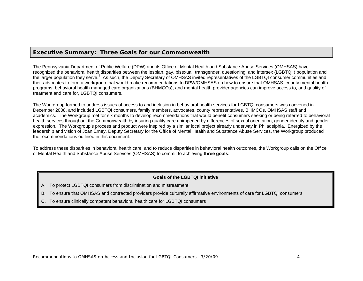### **Executive Summary: Three Goals for our Commonwealth**

The Pennsylvania Department of Public Welfare (DPW) and its Office of Mental Health and Substance Abuse Services (OMHSAS) have recogn[i](#page-25-0)zed the behavioral health disparities between the lesbian, gay, bisexual, transgender, questioning, and intersex (LGBTQI<sup>I</sup>) population and the larger population they serve.<sup>[ii](#page-25-1)</sup> As such, the Deputy Secretary of OMHSAS invited representatives of the LGBTQI consumer communities and their advocates to form a workgroup that would make recommendations to DPW/OMHSAS on how to ensure that OMHSAS, county mental health programs, behavioral health managed care organizations (BHMCOs), and mental health provider agencies can improve access to, and quality of treatment and care for, LGBTQI consumers.

The Workgroup formed to address issues of access to and inclusion in behavioral health services for LGBTQI consumers was convened in December 2008, and included LGBTQI consumers, family members, advocates, county representatives, BHMCOs, OMHSAS staff and academics. The Workgroup met for six months to develop recommendations that would benefit consumers seeking or being referred to behavioral health services throughout the Commonwealth by insuring quality care unimpeded by differences of sexual orientation, gender identity and gender expression. The Workgroup's process and product were inspired by a similar local project already underway in Philadelphia. Energized by the leadership and vision of Joan Erney, Deputy Secretary for the Office of Mental Health and Substance Abuse Services, the Workgroup produced the recommendations outlined in this document.

To address these disparities in behavioral health care, and to reduce disparities in behavioral health outcomes, the Workgroup calls on the Office of Mental Health and Substance Abuse Services (OMHSAS) to commit to achieving **three goals**:

### **Goals of the LGBTQI initiative**

- A. To protect LGBTQI consumers from discrimination and mistreatment
- B. To ensure that OMHSAS and contracted providers provide culturally affirmative environments of care for LGBTQI consumers
- C. To ensure clinically competent behavioral health care for LGBTQI consumers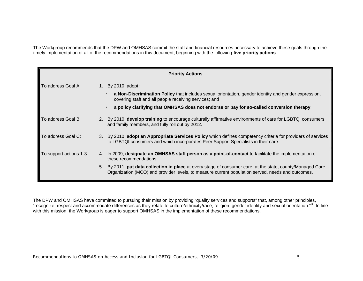The Workgroup recommends that the DPW and OMHSAS commit the staff and financial resources necessary to achieve these goals through the timely implementation of all of the recommendations in this document, beginning with the following **five priority actions**:

| <b>Priority Actions</b> |  |                                                                                                                                                                                                                  |  |  |  |  |
|-------------------------|--|------------------------------------------------------------------------------------------------------------------------------------------------------------------------------------------------------------------|--|--|--|--|
| To address Goal A:      |  | 1. By 2010, adopt:                                                                                                                                                                                               |  |  |  |  |
|                         |  | a Non-Discrimination Policy that includes sexual orientation, gender identity and gender expression,<br>$\bullet$ .<br>covering staff and all people receiving services; and                                     |  |  |  |  |
|                         |  | a policy clarifying that OMHSAS does not endorse or pay for so-called conversion therapy.<br>$\bullet$                                                                                                           |  |  |  |  |
| To address Goal B:      |  | 2. By 2010, <b>develop training</b> to encourage culturally affirmative environments of care for LGBTQI consumers<br>and family members, and fully roll out by 2012.                                             |  |  |  |  |
| To address Goal C:      |  | 3. By 2010, adopt an Appropriate Services Policy which defines competency criteria for providers of services<br>to LGBTQI consumers and which incorporates Peer Support Specialists in their care.               |  |  |  |  |
| To support actions 1-3: |  | 4. In 2009, designate an OMHSAS staff person as a point-of-contact to facilitate the implementation of<br>these recommendations.                                                                                 |  |  |  |  |
|                         |  | 5. By 2011, put data collection in place at every stage of consumer care, at the state, county/Managed Care<br>Organization (MCO) and provider levels, to measure current population served, needs and outcomes. |  |  |  |  |

The DPW and OMHSAS have committed to pursuing their mission by providing "quality services and supports" that, among other principles, "recognize, respect and accommodate differences as they relate to culture/ethnicity/race, religion, gender identity and sexual orientation."" In line with this mission, the Workgroup is eager to support OMHSAS in the implementation of these recommendations.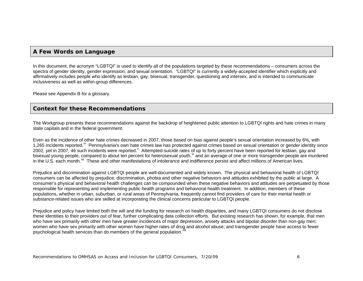# **A Few Words on Language**

In this document, the acronym "LGBTQI" is used to identify all of the populations targeted by these recommendations – consumers across the spectra of gender identity, gender expression, and sexual orientation. "LGBTQI" is currently a widely-accepted identifier which explicitly and affirmatively includes people who identify as lesbian, gay, bisexual, transgender, questioning and intersex, and is intended to communicate inclusiveness as well as within-group differences.

Please see Appendix B for a glossary.

# **Context for these Recommendations**

The Workgroup presents these recommendations against the backdrop of heightened public attention to LGBTQI rights and hate crimes in many state capitals and in the federal government.

Even as the incidence of other hate crimes decreased in 2007, those based on bias against people's sexual orientation increased by 6%, with 1,265 incidents reported.<sup>[iv](#page-25-1)</sup> Pennsylvania's own hate crimes law has protected against crimes based on sexual orientation or gender identity since 2002, yet in 2007, 46 such incidents were reported. Attempted-suicide rates of up to forty percent ha[v](#page-25-1)e been reported for lesbian, gay and bisexual young people, compared to about ten percent for heterosexual youth, and an average of one or more transgender people are murdered in the U.S. each month.<sup>[vii](#page-25-1)</sup> These and other manifestations of intolerance and indifference persist and affect millions of American lives.

Prejudice and discrimination against LGBTQI people are well-documented and widely known. The physical and behavioral health of LGBTQI consumers can be affected by prejudice, discrimination, phobia and other negative behaviors and attitudes exhibited by the public at large. A consumer's physical and behavioral health challenges can be compounded when these negative behaviors and attitudes are perpetuated by those responsible for representing and implementing public health programs and behavioral health treatment. In addition, members of these populations, whether in urban, suburban, or rural areas of Pennsylvania, frequently cannot find providers of care for their mental health or substance-related issues who are skilled at incorporating the clinical concerns particular to LGBTQI people.

Prejudice and policy have limited both the will and the funding for research on health disparities, and many LGBTQI consumers do not disclose these identities to their providers out of fear, further complicating data collection efforts. But existing research has shown, for example, that men who have sex primarily with other men have greater incidences of major depression, anxiety attacks and bipolar disorder than non-gay men; women who have sex primarily with other women have higher rates of drug and alcohol abuse; and transgender people have access to fewer psychological health services than do members of the general population.<sup>v</sup>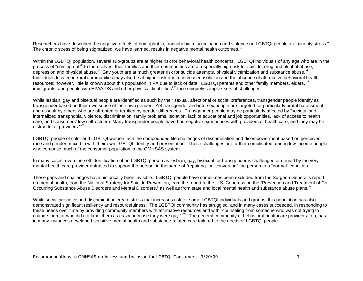Researchers have described the negative effects of homophobia, transphobia, discrimination and violence on LGBTQI people as "minority stress." The chronic stress of being stigmatized, we have learned, results in negative mental health outcomes.<sup>[ix](#page-25-1)</sup>

Within the LGBTQI population, several sub-groups are at higher risk for behavioral health concerns. LGBTQI individuals of any age who are in the process of "coming out"<sup>[x](#page-25-1)</sup> to themselves, their families and their communities are at especially high risk for suicide, drug and alcohol abuse, depression and physical abuse.<sup>[xi](#page-25-1)</sup> Gay youth are at much greater risk for suicide attempts, physical victimization and substance abuse.<sup>[xii](#page-25-1)</sup> Individuals located in rural communities may also be at higher risk due to increased isolation and the absence of affirmative behavioral health resources; however, little is known about this population in PA due to lack of data. LGBTQI parents and other family members, elders,  $x^2$ immigrants, and people with HIV/AIDS and other physical disabilities<sup>[xiv](#page-25-1)</sup> face uniquely complex sets of challenges.

While lesbian, gay and bisexual people are identified as such by their sexual, affectional or social preferences, transgender people identify as transgender based on their own sense of their own gender. Yet transgender and intersex people are targeted for particularly brutal harassment and assault by others who are affronted or terrified by gender differences. Transgender people may be particularly affected by "societal and internalized transphobia, violence, discrimination, family problems, isolation, lack of educational and job opportunities, lack of access to health care, and consumers' low self-esteem. Many transgender people have had negative experiences with providers of health care, and they may be distrustful of providers."<sup>[xv](#page-25-1)</sup>

LGBTQI people of color and LGBTQI women face the compounded life challenges of discrimination and disempowerment based on perceived race and gender, mixed in with their own LGBTQI identity and presentation. These challenges are further complicated among low-income people, who comprise much of the consumer population in the OMHSAS system.

In many cases, even the self-identification of an LGBTQI person as lesbian, gay, bisexual, or transgender is challenged or denied by the very mental health care provider entrusted to support the person, in the name of "repairing" or "converting" the person to a "normal" condition.

These gaps and challenges have historically been invisible. LGBTQI people have sometimes been excluded from the Surgeon General's report on mental health, from the National Strategy for Suicide Prevention, from the report to the U.S. Congress on the "Prevention and Treatment of Co-Occurring Substance Abuse Disorders and Mental Disorders," as well as from state and local mental health and substance abuse plans. XVI

While social prejudice and discrimination create stress that increases risk for some LGBTQI individuals and groups, this population has also demonstrated significant resiliency and resourcefulness. The LGBTQI community has struggled, and in many cases succeeded, in responding to these needs over time by providing community members with affirmative resources and with "counseling from someone who was not trying to change them or who did not label them as crazy because they were gay."<sup>XVII</sup> The general community of behavioral healthcare providers, too, has in many instances developed sensitive mental health and substance-related care tailored to the needs of LGBTQI people.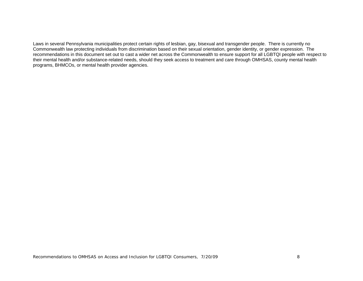Laws in several Pennsylvania municipalities protect certain rights of lesbian, gay, bisexual and transgender people. There is currently no Commonwealth law protecting individuals from discrimination based on their sexual orientation, gender identity, or gender expression. The recommendations in this document set out to cast a wider net across the Commonwealth to ensure support for all LGBTQI people with respect to their mental health and/or substance-related needs, should they seek access to treatment and care through OMHSAS, county mental health programs, BHMCOs, or mental health provider agencies.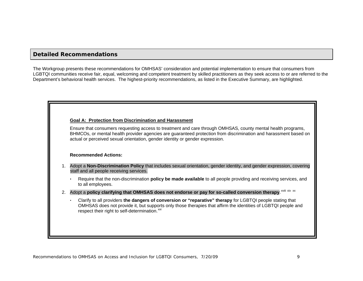# **Detailed Recommendations**

The Workgroup presents these recommendations for OMHSAS' consideration and potential implementation to ensure that consumers from LGBTQI communities receive fair, equal, welcoming and competent treatment by skilled practitioners as they seek access to or are referred to the Department's behavioral health services. The highest-priority recommendations, as listed in the Executive Summary, are highlighted.

### **Goal A: Protection from Discrimination and Harassment**

Ensure that consumers requesting access to treatment and care through OMHSAS, county mental health programs, BHMCOs, or mental health provider agencies are guaranteed protection from discrimination and harassment based on actual or perceived sexual orientation, gender identity or gender expression.

### **Recommended Actions:**

- 1. Adopt a **Non-Discrimination Policy** that includes sexual orientation, gender identity, and gender expression, covering staff and all people receiving services.
	- Require that the non-discrimination **policy be made available** to all people providing and receiving services, and to all employees.
- 2. Adopt a policy clarifying that OMHSAS does not endorse or pay for so-called conversion therapy.<sup>[xviii](#page-25-1) [xix](#page-25-1)</sup> [xx](#page-25-1)
	- $\bullet$  . Clarify to all providers **the dangers of conversion or "reparative" therapy** for LGBTQI people stating that OMHSAS does not provide it, but supports only those therapies that affirm the identities of LGBTQI people and respect their right to self-determination.<sup>[xxi](#page-25-1)</sup>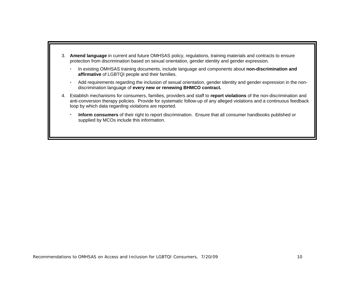- 3. **Amend language** in current and future OMHSAS policy, regulations, training materials and contracts to ensure protection from discrimination based on sexual orientation, gender identity and gender expression.
	- $\bullet$  In existing OMHSAS training documents, include language and components about **non-discrimination and affirmative** of LGBTQI people and their families.
	- $\blacksquare$  Add requirements regarding the inclusion of sexual orientation, gender identity and gender expression in the nondiscrimination language of **every new or renewing BHMCO contract.**
- 4. Establish mechanisms for consumers, families, providers and staff to **report violations** of the non-discrimination and anti-conversion therapy policies. Provide for systematic follow-up of any alleged violations and a continuous feedback loop by which data regarding violations are reported.
	- $\blacksquare$  **Inform consumers** of their right to report discrimination. Ensure that all consumer handbooks published or supplied by MCOs include this information.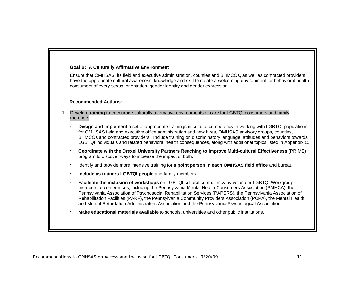### **Goal B: A Culturally Affirmative Environment**

Ensure that OMHSAS, its field and executive administration, counties and BHMCOs, as well as contracted providers, have the appropriate cultural awareness, knowledge and skill to create a welcoming environment for behavioral health consumers of every sexual orientation, gender identity and gender expression.

### **Recommended Actions:**

- 1. Develop **training** to encourage culturally affirmative environments of care for LGBTQI consumers and family members.
	- **Design and implement** a set of appropriate trainings in cultural competency in working with LGBTQI populations for OMHSAS field and executive office administration and new hires, OMHSAS advisory groups, counties, BHMCOs and contracted providers. Include training on discriminatory language, attitudes and behaviors towards LGBTQI individuals and related behavioral health consequences, along with additional topics listed in Appendix C.
	- **Coordinate with the Drexel University Partners Reaching to Improve Multi-cultural Effectiveness** (PRIME) program to discover ways to increase the impact of both.
	- Identify and provide more intensive training for **a point person in each OMHSAS field office** and bureau.
	- **Include as trainers LGBTQI people** and family members.
	- **Facilitate the inclusion of workshops** on LGBTQI cultural competency by volunteer LGBTQI Workgroup members at conferences, including the Pennsylvania Mental Health Consumers Association (PMHCA), the Pennsylvania Association of Psychosocial Rehabilitation Services (PAPSRS), the Pennsylvania Association of Rehabilitation Facilities (PARF), the Pennsylvania Community Providers Association (PCPA), the Mental Health and Mental Retardation Administrators Association and the Pennsylvania Psychological Association.
	- **Make educational materials available** to schools, universities and other public institutions.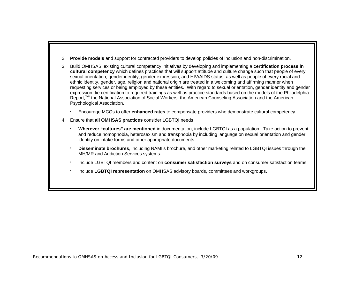- 2. **Provide models** and support for contracted providers to develop policies of inclusion and non-discrimination.
- 3. Build OMHSAS' existing cultural competency initiatives by developing and implementing a **certification process in cultural competency** which defines practices that will support attitude and culture change such that people of every sexual orientation, gender identity, gender expression, and HIV/AIDS status, as well as people of every racial and ethnic identity, gender, age, religion and national origin are treated in a welcoming and affirming manner when requesting services or being employed by these entities. With regard to sexual orientation, gender identity and gender expression, tie certification to required trainings as well as practice standards based on the models of the Philadelphia Report,<sup>[xxii](#page-25-1)</sup> the National Association of Social Workers, the American Counseling Association and the American Psychological Association.
	- Encourage MCOs to offer **enhanced rates** to compensate providers who demonstrate cultural competency.
- 4. Ensure that **all OMHSAS practices** consider LGBTQI needs
	- **Wherever "cultures" are mentioned** in documentation, include LGBTQI as a population. Take action to prevent and reduce homophobia, heterosexism and transphobia by including language on sexual orientation and gender identity on intake forms and other appropriate documents.
	- ۳ **Disseminate brochures**, including NAMI's brochure, and other marketing related to LGBTQI issues through the MH/MR and Addiction Services systems.
	- Include LGBTQI members and content on **consumer satisfaction surveys** and on consumer satisfaction teams.
	- Include **LGBTQI representation** on OMHSAS advisory boards, committees and workgroups.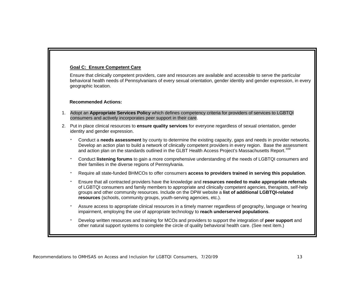### **Goal C: Ensure Competent Care**

Ensure that clinically competent providers, care and resources are available and accessible to serve the particular behavioral health needs of Pennsylvanians of every sexual orientation, gender identity and gender expression, in every geographic location.

### **Recommended Actions:**

- 1. Adopt an **Appropriate Services Policy** which defines competency criteria for providers of services to LGBTQI consumers and actively incorporates peer support in their care.
- 2. Put in place clinical resources to **ensure quality services** for everyone regardless of sexual orientation, gender identity and gender expression.
	- г Conduct a **needs assessment** by county to determine the existing capacity, gaps and needs in provider networks. Develop an action plan to build a network of clinically competent providers in every region. Base the assessment and action plan on the standards outlined in the GLBT Health Access Project's Massachusetts Report.<sup>[xxiii](#page-25-1)</sup>
	- г Conduct **listening forums** to gain a more comprehensive understanding of the needs of LGBTQI consumers and their families in the diverse regions of Pennsylvania.
	- Require all state-funded BHMCOs to offer consumers **access to providers trained in serving this population**.
	- Ensure that all contracted providers have the knowledge and **resources needed to make appropriate referrals** of LGBTQI consumers and family members to appropriate and clinically competent agencies, therapists, self-help groups and other community resources. Include on the DPW website a **list of additional LGBTQI-related resources** (schools, community groups, youth-serving agencies, etc.).
	- г Assure access to appropriate clinical resources in a timely manner regardless of geography, language or hearing impairment, employing the use of appropriate technology to **reach underserved populations**.
	- Develop written resources and training for MCOs and providers to support the integration of **peer support** and other natural support systems to complete the circle of quality behavioral health care. (See next item.)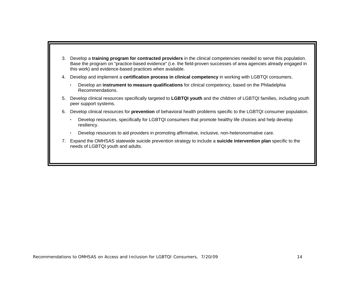- 3. Develop a **training program for contracted providers** in the clinical competencies needed to serve this population. Base the program on "practice-based evidence" (i.e. the field-proven successes of area agencies already engaged in this work) and evidence-based practices when available.
- 4. Develop and implement a **certification process in clinical competency** in working with LGBTQI consumers.
	- $\mathbf{r} = \mathbf{r}$  Develop an **instrument to measure qualifications** for clinical competency, based on the Philadelphia Recommendations.
- 5. Develop clinical resources specifically targeted to **LGBTQI youth** and the children of LGBTQI families, including youth peer support systems.
- 6. Develop clinical resources for **prevention** of behavioral health problems specific to the LGBTQI consumer population.
	- Develop resources, specifically for LGBTQI consumers that promote healthy life choices and help develop resiliency.
	- $\bullet$ Develop resources to aid providers in promoting affirmative, inclusive, non-heteronormative care.
- 7. Expand the OMHSAS statewide suicide prevention strategy to include a **suicide intervention plan** specific to the needs of LGBTQI youth and adults.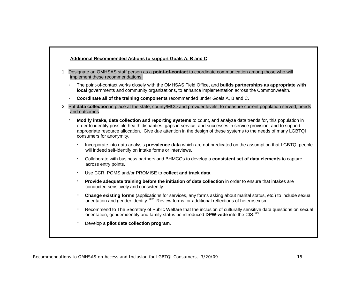|                | 1. Designate an OMHSAS staff person as a <b>point-of-contact</b> to coordinate communication among those who will<br>implement these recommendations.                                                                                                                                                                                                                              |
|----------------|------------------------------------------------------------------------------------------------------------------------------------------------------------------------------------------------------------------------------------------------------------------------------------------------------------------------------------------------------------------------------------|
|                | The point-of-contact works closely with the OMHSAS Field Office, and builds partnerships as appropriate with<br>local governments and community organizations, to enhance implementation across the Commonwealth.                                                                                                                                                                  |
|                | Coordinate all of the training components recommended under Goals A, B and C.                                                                                                                                                                                                                                                                                                      |
|                | 2. Put data collection in place at the state, county/MCO and provider levels, to measure current population served, needs<br>and outcomes.                                                                                                                                                                                                                                         |
|                | Modify intake, data collection and reporting systems to count, and analyze data trends for, this population in<br>order to identify possible health disparities, gaps in service, and successes in service provision, and to support<br>appropriate resource allocation. Give due attention in the design of these systems to the needs of many LGBTQI<br>consumers for anonymity. |
| ٠              | Incorporate into data analysis <b>prevalence data</b> which are not predicated on the assumption that LGBTQI people<br>will indeed self-identify on intake forms or interviews.                                                                                                                                                                                                    |
| $\blacksquare$ | Collaborate with business partners and BHMCOs to develop a consistent set of data elements to capture<br>across entry points.                                                                                                                                                                                                                                                      |
| $\blacksquare$ | Use CCR, POMS and/or PROMISE to collect and track data.                                                                                                                                                                                                                                                                                                                            |
| ٠              | Provide adequate training before the initiation of data collection in order to ensure that intakes are<br>conducted sensitively and consistently.                                                                                                                                                                                                                                  |
| ٠              | Change existing forms (applications for services, any forms asking about marital status, etc.) to include sexual<br>orientation and gender identity. <sup>xxiv</sup> Review forms for additional reflections of heterosexism.                                                                                                                                                      |
| ٠              | Recommend to The Secretary of Public Welfare that the inclusion of culturally sensitive data questions on sexual<br>orientation, gender identity and family status be introduced DPW-wide into the CIS. <sup>xxv</sup>                                                                                                                                                             |
|                | Develop a pilot data collection program.                                                                                                                                                                                                                                                                                                                                           |

Г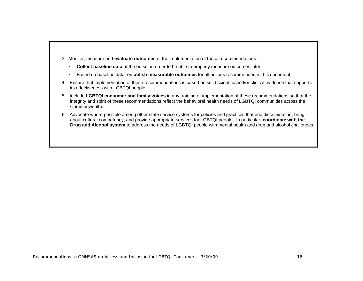- 3. Monitor, measure and **evaluate outcomes** of the implementation of these recommendations.
	- **Collect baseline data** at the outset in order to be able to properly measure outcomes later.
	- $\bullet$ Based on baseline data, **establish measurable outcomes** for all actions recommended in this document.
- 4. Ensure that implementation of these recommendations is based on solid scientific and/or clinical evidence that supports its effectiveness with LGBTQI people.
- 5. Include **LGBTQI consumer and family voices** in any training or implementation of these recommendations so that the integrity and spirit of these recommendations reflect the behavioral health needs of LGBTQI communities across the Commonwealth.
- 6. Advocate where possible among other state service systems for policies and practices that end discrimination, bring about cultural competency, and provide appropriate services for LGBTQI people. In particular, **coordinate with the Drug and Alcohol system** to address the needs of LGBTQI people with mental health and drug and alcohol challenges.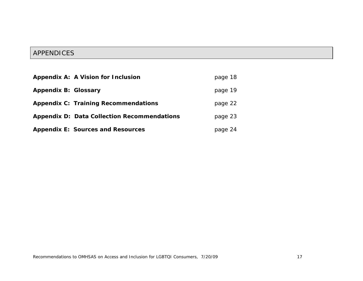# APPENDICES

|                             | Appendix A: A Vision for Inclusion                 | page 18 |
|-----------------------------|----------------------------------------------------|---------|
| <b>Appendix B: Glossary</b> |                                                    | page 19 |
|                             | <b>Appendix C: Training Recommendations</b>        | page 22 |
|                             | <b>Appendix D: Data Collection Recommendations</b> | page 23 |
|                             | <b>Appendix E: Sources and Resources</b>           | page 24 |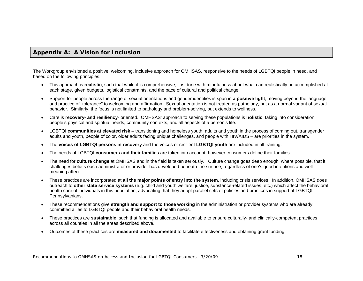### **Appendix A: A Vision for Inclusion**

The Workgroup envisioned a positive, welcoming, inclusive approach for OMHSAS, responsive to the needs of LGBTQI people in need, and based on the following principles:

- This approach is **realistic**, such that while it is comprehensive, it is done with mindfulness about what can realistically be accomplished at each stage, given budgets, logistical constraints, and the pace of cultural and political change.
- Support for people across the range of sexual orientations and gender identities is spun in **a positive light**, moving beyond the language and practice of "tolerance" to welcoming and affirmation. Sexual orientation is not treated as pathology, but as a normal variant of sexual behavior. Similarly, the focus is not limited to pathology and problem-solving, but extends to wellness.
- Care is **recovery- and resiliency** oriented. OMHSAS' approach to serving these populations is **holistic**, taking into consideration people's physical and spiritual needs, community contexts, and all aspects of a person's life.
- LGBTQI **communities at elevated risk**  transitioning and homeless youth, adults and youth in the process of coming out, transgender adults and youth, people of color, older adults facing unique challenges, and people with HIV/AIDS – are priorities in the system.
- The **voices of LGBTQI persons in recovery** and the voices of resilient **LGBTQI youth** are included in all training.
- The needs of LGBTQI **consumers and their families** are taken into account, however consumers define their families.
- The need for **culture change** at OMHSAS and in the field is taken seriously. Culture change goes deep enough, where possible, that it challenges beliefs each administrator or provider has developed beneath the surface, regardless of one's good intentions and wellmeaning affect.
- These practices are incorporated at **all the major points of entry into the system**, including crisis services. In addition, OMHSAS does outreach to **other state service systems** (e.g. child and youth welfare, justice, substance-related issues, etc.) which affect the behavioral health care of individuals in this population, advocating that they adopt parallel sets of policies and practices in support of LGBTQI Pennsylvanians.
- These recommendations give **strength and support to those working** in the administration or provider systems who are already committed allies to LGBTQI people and their behavioral health needs.
- These practices are **sustainable**, such that funding is allocated and available to ensure culturally- and clinically-competent practices across all counties in all the areas described above.
- Outcomes of these practices are **measured and documented** to facilitate effectiveness and obtaining grant funding.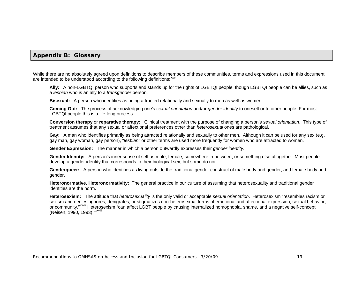### **Appendix B: Glossary**

While there are no absolutely agreed upon definitions to describe members of these communities, terms and expressions used in this document are intended to be understood according to the following definitions:**[xxvi](#page-25-1)**

**Ally:** A non-LGBTQI person who supports and stands up for the rights of LGBTQI people, though LGBTQI people can be allies, such as <sup>a</sup>*lesbian* who is an ally to a *transgender* person.

**Bisexual:** A person who identifies as being attracted relationally and sexually to men as well as women.

**Coming Out:** The process of acknowledging one's *sexual orientation* and/or *gender identity* to oneself or to other people. For most LGBTQI people this is a life-long process.

**Conversion therapy** or **reparative therapy:** Clinical treatment with the purpose of changing a person's *sexual orientation*. This type of treatment assumes that any sexual or affectional preferences other than *heterosexual* ones are pathological.

Gay: A man who identifies primarily as being attracted relationally and sexually to other men. Although it can be used for any sex (e.g. gay man, gay woman, gay person), "*lesbian*" or other terms are used more frequently for women who are attracted to women.

**Gender Expression:** The manner in which a person outwardly expresses their *gender identity*.

**Gender Identity:** A person's inner sense of self as male, female, somewhere in between, or something else altogether. Most people develop a gender identity that corresponds to their biological sex, but some do not.

**Genderqueer:** A person who identifies as living outside the traditional gender construct of male body and gender, and female body and gender.

**Heteronormative, Heteronormativity:** The general practice in our culture of assuming that heterosexuality and traditional gender identities are the norm.

**Heterosexism:** The attitude that *heterosexuality* is the only valid or acceptable *sexual orientation*. Heterosexism "resembles racism or sexism and denies, ignores, denigrates, or stigmatizes non-heterosexual forms of emotional and affectional expression, sexual behavior, or community."<sup>[xxvii](#page-25-1)</sup> Heterosexism "can affect LGBT people by causing internalized homophobia, shame, and a negative self-concept (Neisen, 1990, 1993)."[xxviii](#page-25-1)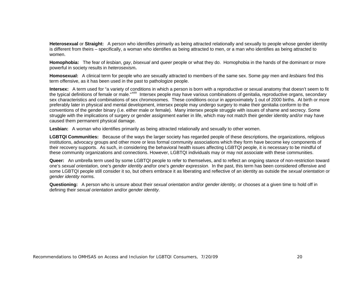**Heterosexual** or **Straight:** A person who identifies primarily as being attracted relationally and sexually to people whose gender identity is different from theirs – specifically, a woman who identifies as being attracted to men, or a man who identifies as being attracted to women.

**Homophobia:** The fear of *lesbian*, *gay*, *bisexual* and *queer* people or what they do. Homophobia in the hands of the dominant or more powerful in society results in *heterosexism***.**

**Homosexual:** A clinical term for people who are sexually attracted to members of the same sex. Some *gay* men and *lesbians* find this term offensive, as it has been used in the past to pathologize people.

**Intersex:** A term used for "a variety of conditions in which a person is born with a reproductive or sexual anatomy that doesn't seem to fit the typical definitions of female or male."<sup>[xxix](#page-25-1)</sup> Intersex people may have various combinations of genitalia, reproductive organs, secondary sex characteristics and combinations of sex chromosomes. These conditions occur in approximately 1 out of 2000 births. At birth or more preferably later in physical and mental development, intersex people may undergo surgery to make their genitalia conform to the conventions of the gender binary (i.e. either male or female). Many intersex people struggle with issues of shame and secrecy. Some struggle with the implications of surgery or gender assignment earlier in life, which may not match their gender identity and/or may have caused them permanent physical damage.

**Lesbian:** A woman who identifies primarily as being attracted relationally and sexually to other women.

**LGBTQI Communities:** Because of the ways the larger society has regarded people of these descriptions, the organizations, religious institutions, advocacy groups and other more or less formal community associations which they form have become key components of their recovery supports. As such, in considering the behavioral health issues affecting LGBTQI people, it is necessary to be mindful of these community organizations and connections. However, LGBTQI individuals may or may not associate with these communities.

**Queer:** An umbrella term used by some LGBTQI people to refer to themselves, and to reflect an ongoing stance of non-restriction toward one's *sexual orientation,* one's *gender identity and*/or one's *gender expression*. In the past, this term has been considered offensive and some LGBTQI people still consider it so, but others embrace it as liberating and reflective of an identity as outside the *sexual orientation* or *gender identity* norms.

**Questioning:** A person who is unsure about their *sexual orientation* and/or *gender identity*, or chooses at a given time to hold off in defining their *sexual orientation* and/or *gender identity*.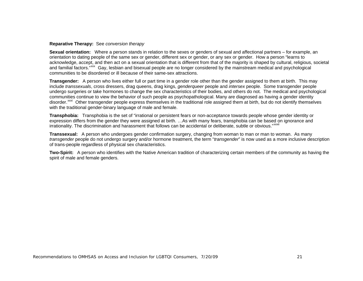### **Reparative Therapy:** See *conversion therapy*

**Sexual orientation:** Where a person stands in relation to the sexes or genders of sexual and affectional partners – for example, an orientation to dating people of the same sex or gender, different sex or gender, or any sex or gender. How a person "learns to acknowledge, accept, and then act on a sexual orientation that is different from that of the majority is shaped by cultural, religious, societal and familial factors."<sup>[xxx](#page-25-1)</sup> Gay, lesbian and bisexual people are no longer considered by the mainstream medical and psychological communities to be disordered or ill because of their same-sex attractions.

**Transgender:** A person who lives either full or part time in a gender role other than the gender assigned to them at birth. This may include *transsexuals*, cross dressers, drag queens, drag kings, *genderqueer* people and *intersex* people. Some transgender people undergo surgeries or take hormones to change the sex characteristics of their bodies, and others do not. The medical and psychological communities continue to view the behavior of such people as psychopathological. Many are diagnosed as having a gender identity disorder.<sup>[xxxi](#page-25-1)</sup> Other transgender people express themselves in the traditional role assigned them at birth, but do not identify themselves with the traditional gender-binary language of male and female.

**Transphobia:** Transphobia is the set of "irrational or persistent fears or non-acceptance towards people whose gender identity or expression differs from the gender they were assigned at birth. …As with many fears, transphobia can be based on ignorance and irrationality. The discrimination and harassment that follows can be accidental or deliberate, subtle or obvious."XXXII

**Transsexual:** A person who undergoes gender confirmation surgery, changing from woman to man or man to woman. As many *transgender* people do not undergo surgery and/or hormone treatment, the term "*transgender*" is now used as a more inclusive description of trans-people regardless of physical sex characteristics.

**Two-Spirit:** A person who identifies with the Native American tradition of characterizing certain members of the community as having the spirit of male and female genders.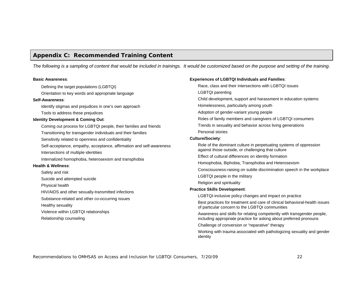# **Appendix C: Recommended Training Content**

*The following is a sampling of content that would be included in trainings. It would be customized based on the purpose and setting of the training.* 

#### **Basic Awareness**:

Defining the target populations (LGBTQI)

Orientation to key words and appropriate language

#### **Self-Awareness**:

Identify stigmas and prejudices in one's own approach

Tools to address these prejudices

#### **Identity Development & Coming Out**:

Coming out process for LGBTQI people, their families and friends Transitioning for transgender individuals and their families Sensitivity related to openness and confidentiality Self-acceptance, empathy, acceptance, affirmation and self-awareness Intersections of multiple identities Internalized homophobia, heterosexism and transphobia **Health & Wellness**: Safety and risk Suicide and attempted suicide Physical health HIV/AIDS and other sexually-transmitted infections

Substance-related and other co-occurring issues

Healthy sexuality

Violence within LGBTQI relationships

Relationship counseling

### **Experiences of LGBTQI Individuals and Families**:

Race, class and their intersections with LGBTQI issues LGBTQI parenting Child development, support and harassment in education systems Homelessness, particularly among youth Adoption of gender-variant young people Roles of family members and caregivers of LGBTQI consumers Trends in sexuality and behavior across living generations Personal stories **Culture/Society**: Role of the dominant culture in perpetuating systems of oppression against those outside, or challenging that culture Effect of cultural differences on identity formation Homophobia, Biphobia, Transphobia and Heterosexism Consciousness-raising on subtle discrimination speech in the workplace LGBTQI people in the military Religion and spirituality **Practice Skills Development**: LGBTQI-inclusive policy changes and impact on practice Best practices for treatment and care of clinical behavioral-health issues of particular concern to the LGBTQI communities Awareness and skills for relating competently with transgender people, including appropriate practice for asking about preferred pronouns Challenge of conversion or "reparative" therapy

Working with trauma associated with pathologizing sexuality and gender identity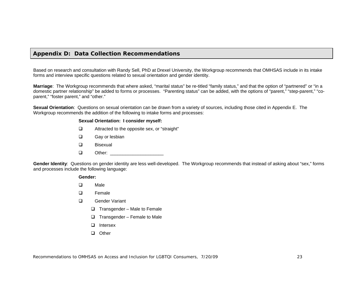### **Appendix D: Data Collection Recommendations**

Based on research and consultation with Randy Sell, PhD at Drexel University, the Workgroup recommends that OMHSAS include in its intake forms and interview specific questions related to sexual orientation and gender identity.

**Marriage**: The Workgroup recommends that where asked, "marital status" be re-titled "family status," and that the option of "partnered" or "in a domestic partner relationship" be added to forms or processes. "Parenting status" can be added, with the options of "parent," "step-parent," "coparent," "foster parent," and "other."

**Sexual Orientation**: Questions on sexual orientation can be drawn from a variety of sources, including those cited in Appendix E. The Workgroup recommends the addition of the following to intake forms and processes:

### **Sexual Orientation: I consider myself:**

- Attracted to the opposite sex, or "straight"
- **Q** Gay or lesbian
- □ Bisexual
- $\Box$  Other:

**Gender Identity**: Questions on gender identity are less well-developed. The Workgroup recommends that instead of asking about "sex," forms and processes include the following language:

#### **Gender:**

- D<sub>Male</sub>
- Female
- Gender Variant
	- $\Box$  Transgender Male to Female
	- $\Box$  Transgender Female to Male
	- □ Intersex
	- □ Other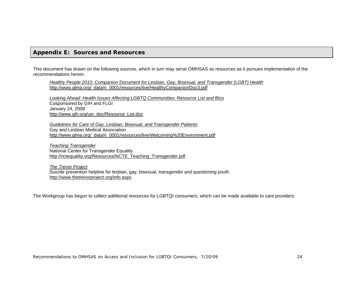### **Appendix E: Sources and Resources**

This document has drawn on the following sources, which in turn may serve OMHSAS as resources as it pursues implementation of the recommendations herein:

*Healthy People 2010: Companion Document for Lesbian, Gay, Bisexual, and Transgender (LGBT) Health* [http://www.glma.org/\\_data/n\\_0001/resources/live/HealthyCompanionDoc3.pdf](http://www.glma.org/_data/n_0001/resources/live/HealthyCompanionDoc3.pdf)

*Looking Ahead: Health Issues Affecting LGBTQ Communities: Resource List and Bios* Cosponsored by GIH and FLGI January 24, 2008 [http://www.gih.org/usr\\_doc/Resource\\_List.doc](http://www.gih.org/usr_doc/Resource_List.doc)

*Guidelines for Care of Gay, Lesbian, Bisexual, and Transgender Patients* Gay and Lesbian Medical Association [http://www.glma.org/\\_data/n\\_0001/resources/live/Welcoming%20Environment.pdf](http://www.glma.org/_data/n_0001/resources/live/Welcoming%20Environment.pdf)

*Teaching Transgender* National Center for Transgender Equality [http://nctequality.org/Resources/NCTE\\_Teaching\\_Transgender.pdf](http://nctequality.org/Resources/NCTE_Teaching_Transgender.pdf)

*The Trevor Project* Suicide prevention helpline for lesbian, gay, bisexual, transgender and questioning youth <http://www.thetrevorproject.org/info.aspx>

The Workgroup has begun to collect additional resources for LGBTQI consumers, which can be made available to care providers.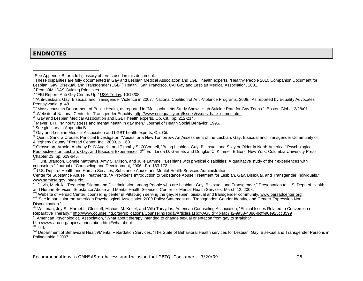# **ENDNOTES**

- 
- 

<sup>xi</sup> Gay and Lesbian Medical Association and LGBT health experts, Op. Cit.<br><sup>xii</sup> Quinn, Sandra Crouse, Principal Investigator, "Voices for a New Tomorrow: An Assessment of the Lesbian, Gay, Bisexual and Transgender Communi

xiiiGrossman, Arnold, Anthony R. D'Augelli, and Timothy S. O'Connell, "Being Lesbian, Gay, Bisexual, and Sixty or Older in North America." Psychological Perspectives on Lesbian, Gay, and Bisexual Experiences, 2<sup>nd</sup> Ed., Linda D. Garnets and Douglas C. Kimmel, Editors. New York, Columbia University Press.<br>Chapter 23, pp. 629-645.

xiv Hunt, Brandon, Connie Matthews, Amy S. Milson, and Julie Lammel, "Lesbians with physical disabilities: A qualitative study of their experiences with counselors." Journal of Counseling and Development, 2006. Pp. 163-173.

xv U.S. Dept. of Health and Human Services, Substance Abuse and Mental Health Services Administration

Center for Substance Abuse Treatments, "A Provider's Introduction to Substance Abuse Treatment for Lesbian, Gay, Bisexual, and Transgender Individuals,"

www.samhsa.gov page xix.<br><sup>xvi</sup> Davis, Mark A., "Reducing Stigma and Discrimination among People who are Lesbian, Gay, Bisexual, and Transgender," Presentation to U.S. Dept. of Health and Human Services, Substance Abuse and Mental Health Services, Center for Mental Health Services, March 12, 2008.<br><sup>Xvii</sup> Website of Persad Center, counseling center in Pittsburgh serving the gay, lesbian, bisexual and tra

XVIII See in particular the American Psychological Association 2009 Policy Statement on "Transgender, Gender Identity, and Gender Expression Non-

Discrimination."<br><sup>xix</sup> Whitman, Joy S., Harriet L. Glossoff, Michael M. Kocet, and Villa Tarvydas, American Counseling Association, "Ethical Issues Related to Conversion or Reparative Therapy." <http://www.counseling.org/Publications/CounselingTodayArticles.aspx?AGuid=4b4ac742-9a58-4086-bcff-96e925cc3599>

xx American Psychological Association, "What about therapy intended to change sexual orientation from gay to straight?"

http://www.apa.org/topics/sorientation.html#whatabout<br><sup>xxi</sup> ibid.

<sup>xxii</sup> Department of Behavioral Health/Mental Retardation Services, "The State of Behavioral Health services for Lesbian, Gay, Bisexual and Transgender Persons in Philadelphia," 2007.

<sup>&</sup>lt;sup>i</sup> See Appendix B for a full glossary of terms used in this document.<br><sup>ii</sup> These disparities are fully documented in Gay and Lesbian Medical Association and LGBT health experts, "Healthy People 2010 Companion Document for Lesbian, Gay, Bisexual, and Transgender (LGBT) Health." San Francisco, CA: Gay and Lesbian Medical Association, 2001.<br><sup>iii</sup> From OMHSAS Guiding Principles.<br><sup>iv</sup> "FBI Report: Anti-Gay Crimes Up." USA Today, 10/18/08.

<sup>&</sup>lt;sup>v</sup> "Anti-Lesbian, Gay, Bisexual and Transgender Violence in 2007." National Coalition of Anti-Violence Programs, 2008. As reported by Equality Advocates

Penns[y](http://www.nctequality.org/Issues/issues_hate_crimes.html)lvania, p. 48.<br>
<sup>Vi</sup> "Massachusetts Department of Public Health, as reported in "Massachusetts Study Shows Hi[g](http://www.nctequality.org/Issues/issues_hate_crimes.html)h Suicide Rate for Gay Teens." Boston Globe, 2/28/01.<br>
Vii Website of National Center for Transgender Equa